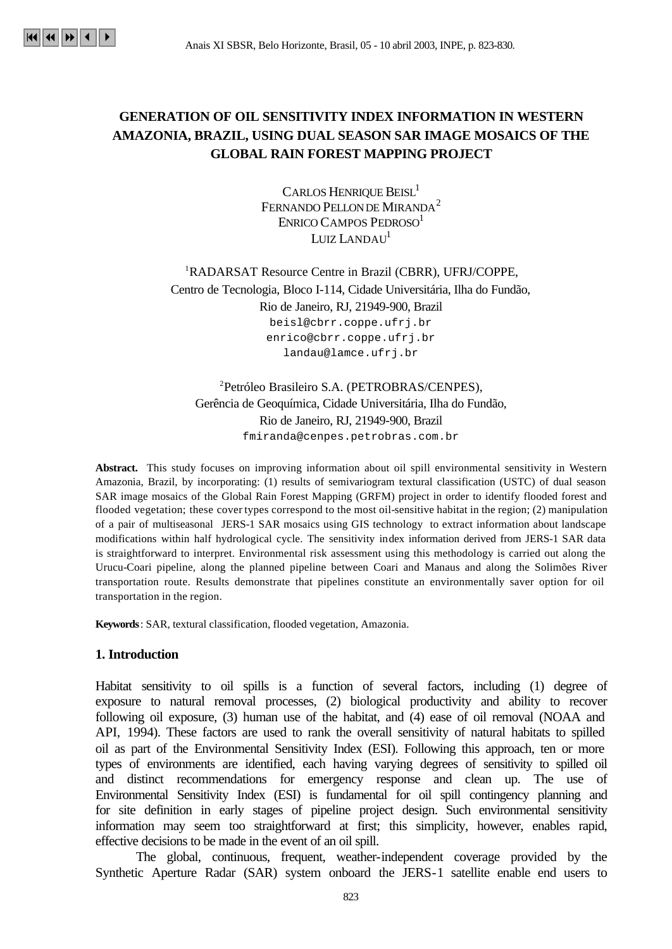# **GENERATION OF OIL SENSITIVITY INDEX INFORMATION IN WESTERN AMAZONIA, BRAZIL, USING DUAL SEASON SAR IMAGE MOSAICS OF THE GLOBAL RAIN FOREST MAPPING PROJECT**

CARLOS HENRIQUE BEISL<sup>1</sup> FERNANDO PELLON DE MIRANDA<sup>2</sup> ENRICO CAMPOS PEDROSO<sup>1</sup> LUIZ LANDAU<sup>1</sup>

<sup>1</sup>RADARSAT Resource Centre in Brazil (CBRR), UFRJ/COPPE, Centro de Tecnologia, Bloco I-114, Cidade Universitária, Ilha do Fundão, Rio de Janeiro, RJ, 21949-900, Brazil beisl@cbrr.coppe.ufrj.br enrico@cbrr.coppe.ufrj.br landau@lamce.ufrj.br

<sup>2</sup>Petróleo Brasileiro S.A. (PETROBRAS/CENPES), Gerência de Geoquímica, Cidade Universitária, Ilha do Fundão, Rio de Janeiro, RJ, 21949-900, Brazil fmiranda@cenpes.petrobras.com.br

**Abstract.** This study focuses on improving information about oil spill environmental sensitivity in Western Amazonia, Brazil, by incorporating: (1) results of semivariogram textural classification (USTC) of dual season SAR image mosaics of the Global Rain Forest Mapping (GRFM) project in order to identify flooded forest and flooded vegetation; these cover types correspond to the most oil-sensitive habitat in the region; (2) manipulation of a pair of multiseasonal JERS-1 SAR mosaics using GIS technology to extract information about landscape modifications within half hydrological cycle. The sensitivity index information derived from JERS-1 SAR data is straightforward to interpret. Environmental risk assessment using this methodology is carried out along the Urucu-Coari pipeline, along the planned pipeline between Coari and Manaus and along the Solimões River transportation route. Results demonstrate that pipelines constitute an environmentally saver option for oil transportation in the region.

**Keywords**: SAR, textural classification, flooded vegetation, Amazonia.

#### **1. Introduction**

Habitat sensitivity to oil spills is a function of several factors, including (1) degree of exposure to natural removal processes, (2) biological productivity and ability to recover following oil exposure, (3) human use of the habitat, and (4) ease of oil removal (NOAA and API, 1994). These factors are used to rank the overall sensitivity of natural habitats to spilled oil as part of the Environmental Sensitivity Index (ESI). Following this approach, ten or more types of environments are identified, each having varying degrees of sensitivity to spilled oil and distinct recommendations for emergency response and clean up. The use of Environmental Sensitivity Index (ESI) is fundamental for oil spill contingency planning and for site definition in early stages of pipeline project design. Such environmental sensitivity information may seem too straightforward at first; this simplicity, however, enables rapid, effective decisions to be made in the event of an oil spill.

The global, continuous, frequent, weather-independent coverage provided by the Synthetic Aperture Radar (SAR) system onboard the JERS-1 satellite enable end users to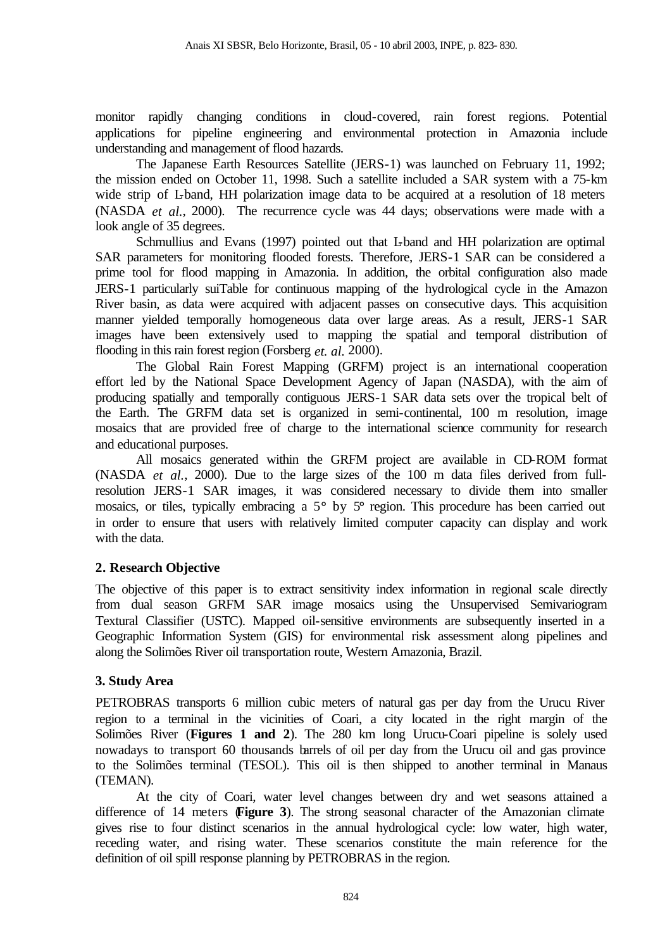monitor rapidly changing conditions in cloud-covered, rain forest regions. Potential applications for pipeline engineering and environmental protection in Amazonia include understanding and management of flood hazards.

The Japanese Earth Resources Satellite (JERS-1) was launched on February 11, 1992; the mission ended on October 11, 1998. Such a satellite included a SAR system with a 75-km wide strip of L-band, HH polarization image data to be acquired at a resolution of 18 meters (NASDA *et al.*, 2000). The recurrence cycle was 44 days; observations were made with a look angle of 35 degrees.

Schmullius and Evans (1997) pointed out that L-band and HH polarization are optimal SAR parameters for monitoring flooded forests. Therefore, JERS-1 SAR can be considered a prime tool for flood mapping in Amazonia. In addition, the orbital configuration also made JERS-1 particularly suiTable for continuous mapping of the hydrological cycle in the Amazon River basin, as data were acquired with adjacent passes on consecutive days. This acquisition manner yielded temporally homogeneous data over large areas. As a result, JERS-1 SAR images have been extensively used to mapping the spatial and temporal distribution of flooding in this rain forest region (Forsberg *et. al.* 2000).

The Global Rain Forest Mapping (GRFM) project is an international cooperation effort led by the National Space Development Agency of Japan (NASDA), with the aim of producing spatially and temporally contiguous JERS-1 SAR data sets over the tropical belt of the Earth. The GRFM data set is organized in semi-continental, 100 m resolution, image mosaics that are provided free of charge to the international science community for research and educational purposes.

All mosaics generated within the GRFM project are available in CD-ROM format (NASDA *et al.*, 2000). Due to the large sizes of the 100 m data files derived from fullresolution JERS-1 SAR images, it was considered necessary to divide them into smaller mosaics, or tiles, typically embracing a 5° by 5° region. This procedure has been carried out in order to ensure that users with relatively limited computer capacity can display and work with the data.

## **2. Research Objective**

The objective of this paper is to extract sensitivity index information in regional scale directly from dual season GRFM SAR image mosaics using the Unsupervised Semivariogram Textural Classifier (USTC). Mapped oil-sensitive environments are subsequently inserted in a Geographic Information System (GIS) for environmental risk assessment along pipelines and along the Solimões River oil transportation route, Western Amazonia, Brazil.

## **3. Study Area**

PETROBRAS transports 6 million cubic meters of natural gas per day from the Urucu River region to a terminal in the vicinities of Coari, a city located in the right margin of the Solimões River (**Figures 1 and 2**). The 280 km long Urucu-Coari pipeline is solely used nowadays to transport 60 thousands barrels of oil per day from the Urucu oil and gas province to the Solimões terminal (TESOL). This oil is then shipped to another terminal in Manaus (TEMAN).

At the city of Coari, water level changes between dry and wet seasons attained a difference of 14 meters (**Figure 3**). The strong seasonal character of the Amazonian climate gives rise to four distinct scenarios in the annual hydrological cycle: low water, high water, receding water, and rising water. These scenarios constitute the main reference for the definition of oil spill response planning by PETROBRAS in the region.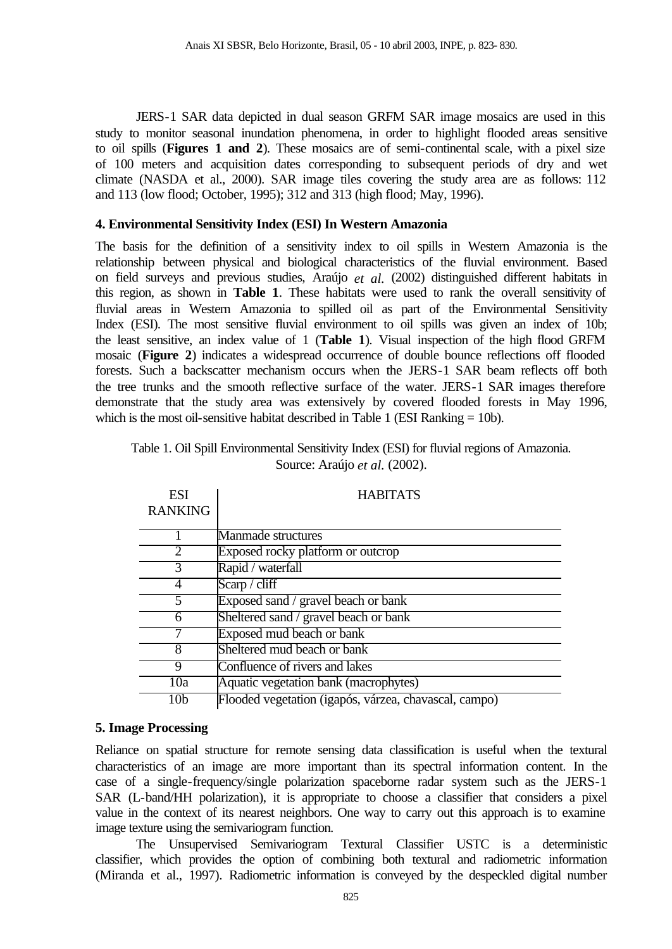JERS-1 SAR data depicted in dual season GRFM SAR image mosaics are used in this study to monitor seasonal inundation phenomena, in order to highlight flooded areas sensitive to oil spills (**Figures 1 and 2**). These mosaics are of semi-continental scale, with a pixel size of 100 meters and acquisition dates corresponding to subsequent periods of dry and wet climate (NASDA et al., 2000). SAR image tiles covering the study area are as follows: 112 and 113 (low flood; October, 1995); 312 and 313 (high flood; May, 1996).

## **4. Environmental Sensitivity Index (ESI) In Western Amazonia**

The basis for the definition of a sensitivity index to oil spills in Western Amazonia is the relationship between physical and biological characteristics of the fluvial environment. Based on field surveys and previous studies, Araújo *et al.* (2002) distinguished different habitats in this region, as shown in **Table 1**. These habitats were used to rank the overall sensitivity of fluvial areas in Western Amazonia to spilled oil as part of the Environmental Sensitivity Index (ESI). The most sensitive fluvial environment to oil spills was given an index of 10b; the least sensitive, an index value of 1 (**Table 1**). Visual inspection of the high flood GRFM mosaic (**Figure 2**) indicates a widespread occurrence of double bounce reflections off flooded forests. Such a backscatter mechanism occurs when the JERS-1 SAR beam reflects off both the tree trunks and the smooth reflective surface of the water. JERS-1 SAR images therefore demonstrate that the study area was extensively by covered flooded forests in May 1996, which is the most oil-sensitive habitat described in Table 1 (ESI Ranking  $= 10b$ ).

| <b>ESI</b><br><b>RANKING</b> | <b>HABITATS</b>                                       |
|------------------------------|-------------------------------------------------------|
|                              | Manmade structures                                    |
| $\mathcal{D}_{\mathcal{L}}$  | Exposed rocky platform or outcrop                     |
| 3                            | Rapid / waterfall                                     |
|                              | Scarp / cliff                                         |
|                              | Exposed sand / gravel beach or bank                   |
| 6                            | Sheltered sand / gravel beach or bank                 |
|                              | Exposed mud beach or bank                             |
| 8                            | Sheltered mud beach or bank                           |
| 9                            | Confluence of rivers and lakes                        |
| 10a                          | Aquatic vegetation bank (macrophytes)                 |
| 10b                          | Flooded vegetation (igapós, várzea, chavascal, campo) |

| Table 1. Oil Spill Environmental Sensitivity Index (ESI) for fluvial regions of Amazonia. |
|-------------------------------------------------------------------------------------------|
| Source: Araújo <i>et al.</i> (2002).                                                      |

## **5. Image Processing**

Reliance on spatial structure for remote sensing data classification is useful when the textural characteristics of an image are more important than its spectral information content. In the case of a single-frequency/single polarization spaceborne radar system such as the JERS-1 SAR (L-band/HH polarization), it is appropriate to choose a classifier that considers a pixel value in the context of its nearest neighbors. One way to carry out this approach is to examine image texture using the semivariogram function.

The Unsupervised Semivariogram Textural Classifier USTC is a deterministic classifier, which provides the option of combining both textural and radiometric information (Miranda et al., 1997). Radiometric information is conveyed by the despeckled digital number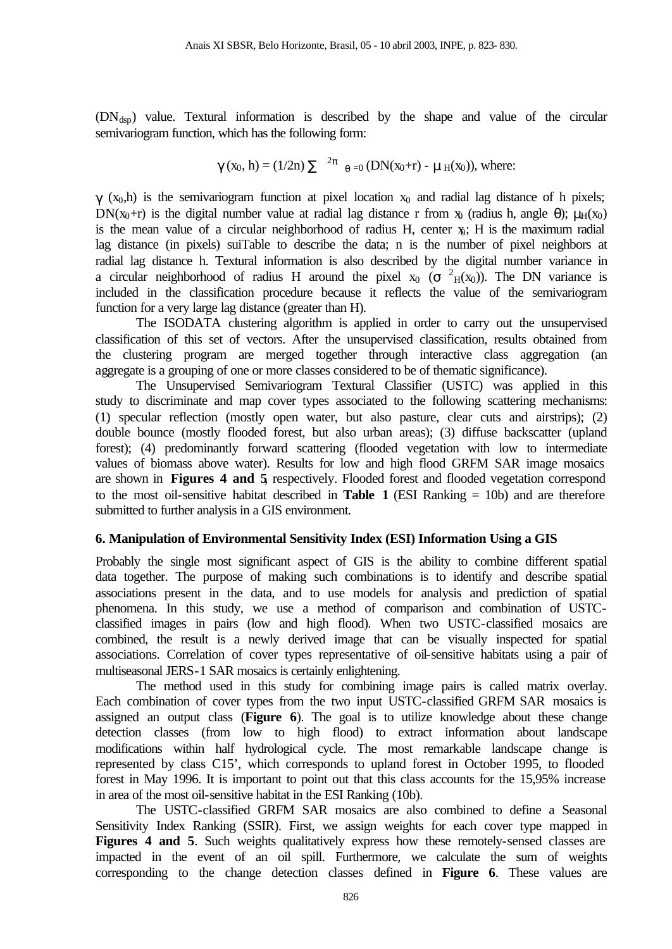$(DN<sub>dsp</sub>)$  value. Textural information is described by the shape and value of the circular semivariogram function, which has the following form:

$$
\gamma
$$
 (x<sub>0</sub>, h) = (1/2n)  $\sum$ <sup>2\pi</sup>  $_{\theta=0}$  (DN(x<sub>0</sub>+r) -  $\mu$ <sub>H</sub>(x<sub>0</sub>)), where:

 $\gamma$  (x<sub>0</sub>,h) is the semivariogram function at pixel location x<sub>0</sub> and radial lag distance of h pixels; DN(x<sub>0</sub>+r) is the digital number value at radial lag distance r from x<sub>0</sub> (radius h, angle θ);  $\mu$ <sub>H</sub>(x<sub>0</sub>) is the mean value of a circular neighborhood of radius H, center  $x_i$ ; H is the maximum radial lag distance (in pixels) suiTable to describe the data; n is the number of pixel neighbors at radial lag distance h. Textural information is also described by the digital number variance in a circular neighborhood of radius H around the pixel  $x_0$  ( $\sigma$   $^2$ <sub>H</sub>(x<sub>0</sub>)). The DN variance is included in the classification procedure because it reflects the value of the semivariogram function for a very large lag distance (greater than H).

The ISODATA clustering algorithm is applied in order to carry out the unsupervised classification of this set of vectors. After the unsupervised classification, results obtained from the clustering program are merged together through interactive class aggregation (an aggregate is a grouping of one or more classes considered to be of thematic significance).

The Unsupervised Semivariogram Textural Classifier (USTC) was applied in this study to discriminate and map cover types associated to the following scattering mechanisms: (1) specular reflection (mostly open water, but also pasture, clear cuts and airstrips); (2) double bounce (mostly flooded forest, but also urban areas); (3) diffuse backscatter (upland forest); (4) predominantly forward scattering (flooded vegetation with low to intermediate values of biomass above water). Results for low and high flood GRFM SAR image mosaics are shown in **Figures 4 and 5**, respectively. Flooded forest and flooded vegetation correspond to the most oil-sensitive habitat described in **Table 1** (ESI Ranking = 10b) and are therefore submitted to further analysis in a GIS environment.

## **6. Manipulation of Environmental Sensitivity Index (ESI) Information Using a GIS**

Probably the single most significant aspect of GIS is the ability to combine different spatial data together. The purpose of making such combinations is to identify and describe spatial associations present in the data, and to use models for analysis and prediction of spatial phenomena. In this study, we use a method of comparison and combination of USTCclassified images in pairs (low and high flood). When two USTC-classified mosaics are combined, the result is a newly derived image that can be visually inspected for spatial associations. Correlation of cover types representative of oil-sensitive habitats using a pair of multiseasonal JERS-1 SAR mosaics is certainly enlightening.

The method used in this study for combining image pairs is called matrix overlay. Each combination of cover types from the two input USTC-classified GRFM SAR mosaics is assigned an output class (**Figure 6**). The goal is to utilize knowledge about these change detection classes (from low to high flood) to extract information about landscape modifications within half hydrological cycle. The most remarkable landscape change is represented by class C15', which corresponds to upland forest in October 1995, to flooded forest in May 1996. It is important to point out that this class accounts for the 15,95% increase in area of the most oil-sensitive habitat in the ESI Ranking (10b).

The USTC-classified GRFM SAR mosaics are also combined to define a Seasonal Sensitivity Index Ranking (SSIR). First, we assign weights for each cover type mapped in Figures 4 and 5. Such weights qualitatively express how these remotely-sensed classes are impacted in the event of an oil spill. Furthermore, we calculate the sum of weights corresponding to the change detection classes defined in **Figure 6**. These values are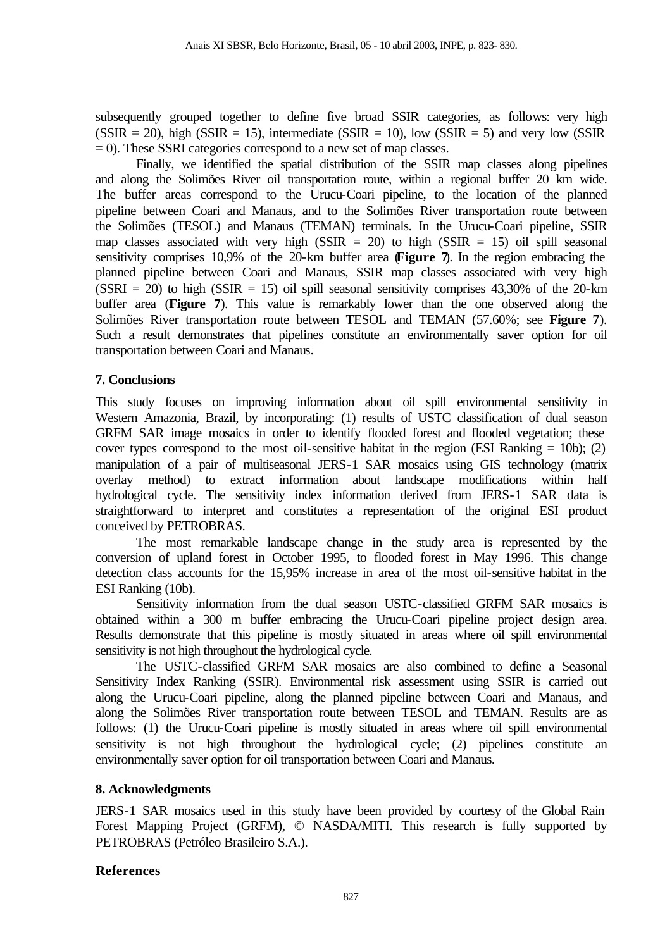subsequently grouped together to define five broad SSIR categories, as follows: very high  $(SSIR = 20)$ , high  $(SSIR = 15)$ , intermediate  $(SSIR = 10)$ , low  $(SSIR = 5)$  and very low  $(SSIR = 15)$  $= 0$ ). These SSRI categories correspond to a new set of map classes.

Finally, we identified the spatial distribution of the SSIR map classes along pipelines and along the Solimões River oil transportation route, within a regional buffer 20 km wide. The buffer areas correspond to the Urucu-Coari pipeline, to the location of the planned pipeline between Coari and Manaus, and to the Solimões River transportation route between the Solimões (TESOL) and Manaus (TEMAN) terminals. In the Urucu-Coari pipeline, SSIR map classes associated with very high (SSIR  $= 20$ ) to high (SSIR  $= 15$ ) oil spill seasonal sensitivity comprises 10,9% of the 20-km buffer area (**Figure 7**). In the region embracing the planned pipeline between Coari and Manaus, SSIR map classes associated with very high  $(SSRI = 20)$  to high  $(SSIR = 15)$  oil spill seasonal sensitivity comprises 43,30% of the 20-km buffer area (**Figure 7**). This value is remarkably lower than the one observed along the Solimões River transportation route between TESOL and TEMAN (57.60%; see **Figure 7**). Such a result demonstrates that pipelines constitute an environmentally saver option for oil transportation between Coari and Manaus.

## **7. Conclusions**

This study focuses on improving information about oil spill environmental sensitivity in Western Amazonia, Brazil, by incorporating: (1) results of USTC classification of dual season GRFM SAR image mosaics in order to identify flooded forest and flooded vegetation; these cover types correspond to the most oil-sensitive habitat in the region (ESI Ranking  $= 10b$ ); (2) manipulation of a pair of multiseasonal JERS-1 SAR mosaics using GIS technology (matrix overlay method) to extract information about landscape modifications within half hydrological cycle. The sensitivity index information derived from JERS-1 SAR data is straightforward to interpret and constitutes a representation of the original ESI product conceived by PETROBRAS.

The most remarkable landscape change in the study area is represented by the conversion of upland forest in October 1995, to flooded forest in May 1996. This change detection class accounts for the 15,95% increase in area of the most oil-sensitive habitat in the ESI Ranking (10b).

Sensitivity information from the dual season USTC-classified GRFM SAR mosaics is obtained within a 300 m buffer embracing the Urucu-Coari pipeline project design area. Results demonstrate that this pipeline is mostly situated in areas where oil spill environmental sensitivity is not high throughout the hydrological cycle.

The USTC-classified GRFM SAR mosaics are also combined to define a Seasonal Sensitivity Index Ranking (SSIR). Environmental risk assessment using SSIR is carried out along the Urucu-Coari pipeline, along the planned pipeline between Coari and Manaus, and along the Solimões River transportation route between TESOL and TEMAN. Results are as follows: (1) the Urucu-Coari pipeline is mostly situated in areas where oil spill environmental sensitivity is not high throughout the hydrological cycle; (2) pipelines constitute an environmentally saver option for oil transportation between Coari and Manaus.

## **8. Acknowledgments**

JERS-1 SAR mosaics used in this study have been provided by courtesy of the Global Rain Forest Mapping Project (GRFM), © NASDA/MITI. This research is fully supported by PETROBRAS (Petróleo Brasileiro S.A.).

## **References**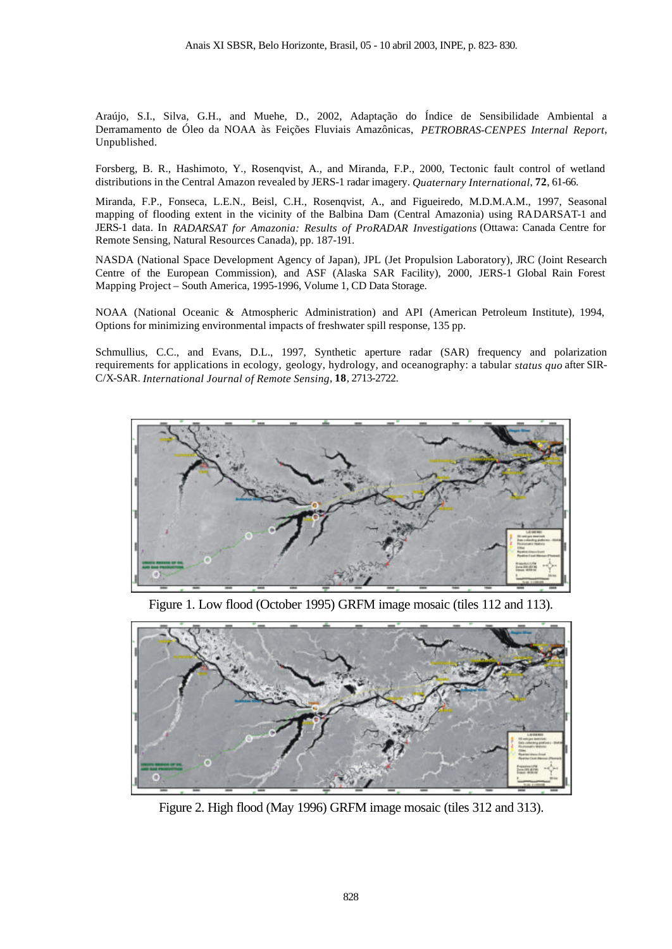Araújo, S.I., Silva, G.H., and Muehe, D., 2002, Adaptação do Índice de Sensibilidade Ambiental a Derramamento de Óleo da NOAA às Feições Fluviais Amazônicas, *PETROBRAS-CENPES Internal Report*, Unpublished.

Forsberg, B. R., Hashimoto, Y., Rosenqvist, A., and Miranda, F.P., 2000, Tectonic fault control of wetland distributions in the Central Amazon revealed by JERS-1 radar imagery. *Quaternary International*, **72**, 61-66.

Miranda, F.P., Fonseca, L.E.N., Beisl, C.H., Rosenqvist, A., and Figueiredo, M.D.M.A.M., 1997, Seasonal mapping of flooding extent in the vicinity of the Balbina Dam (Central Amazonia) using RADARSAT-1 and JERS-1 data. In *RADARSAT for Amazonia: Results of ProRADAR Investigations* (Ottawa: Canada Centre for Remote Sensing, Natural Resources Canada), pp. 187-191.

NASDA (National Space Development Agency of Japan), JPL (Jet Propulsion Laboratory), JRC (Joint Research Centre of the European Commission), and ASF (Alaska SAR Facility), 2000, JERS-1 Global Rain Forest Mapping Project – South America, 1995-1996, Volume 1, CD Data Storage.

NOAA (National Oceanic & Atmospheric Administration) and API (American Petroleum Institute), 1994, Options for minimizing environmental impacts of freshwater spill response, 135 pp.

Schmullius, C.C., and Evans, D.L., 1997, Synthetic aperture radar (SAR) frequency and polarization requirements for applications in ecology, geology, hydrology, and oceanography: a tabular *status quo* after SIR-C/X-SAR. *International Journal of Remote Sensing*, **18**, 2713-2722.



Figure 1. Low flood (October 1995) GRFM image mosaic (tiles 112 and 113).



Figure 2. High flood (May 1996) GRFM image mosaic (tiles 312 and 313).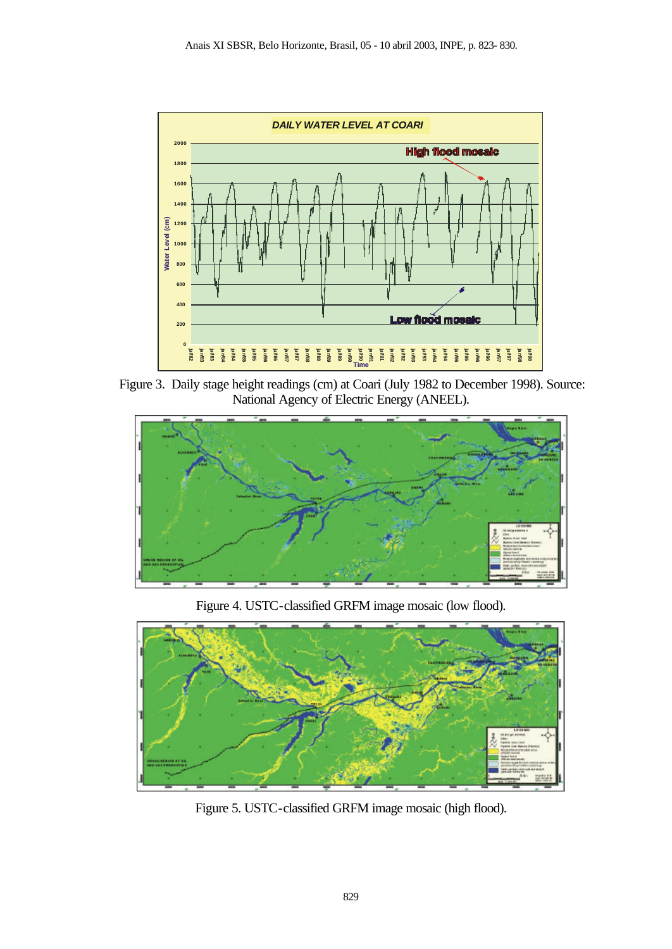

 Figure 3. Daily stage height readings (cm) at Coari (July 1982 to December 1998). Source: National Agency of Electric Energy (ANEEL).



Figure 4. USTC-classified GRFM image mosaic (low flood).



Figure 5. USTC-classified GRFM image mosaic (high flood).